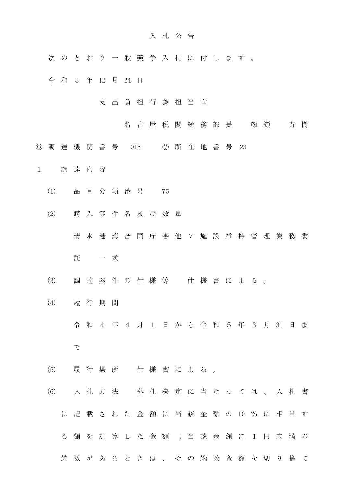## 入 札 公 告

- 次 の と お り 一 般 競 争 入 札 に 付 し ま す 。
- 令 和 3 年 12 月 24 日
	- 支 出 負 担 行 為 担 当 官
		- 名 古 屋 税 関 総 務 部 長 纐 纈 寿 樹
- ◎ 調 達 機 関 番 号 015 ◎ 所 在 地 番 号 23
- 1 調 達 内 容
	- (1) 品 目 分 類 番 号 75
	- (2) 購 入 等 件 名 及 び 数 量
		- 清 水 港 湾 合 同 庁 舎 他 7 施 設 維 持 管 理 業 務 委
		- 託 一 式
	- (3) 調 達 案 件 の 仕 様 等 仕 様 書 に よ る 。
	- (4) 履 行 期 間
		- 令 和 4 年 4 月 1 日 か ら 令 和 5 年 3 月 31 日 ま
		- で
	- (5) 履 行 場 所 仕 様 書 に よ る 。
	- (6) 入 札 方 法 落 札 決 定 に 当 た っ て は 、 入 札 書 に 記 載 さ れ た 金 額 に 当 該 金 額 の 10 % に 相 当 す る 額 を 加 算 し た 金 額 ( 当 該 金 額 に 1 円 未 満 の 端数があるときは、その端数金額を切り捨て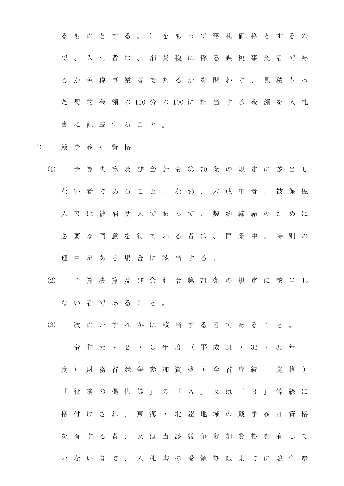る も の と す る 。 ) を も っ て 落 札 価 格 と す る の で 、 入 札 者 は 、 消 費 税 に 係 る 課 税 事 業 者 で あ る か 免 税 事 業 者 で あ る か を 問 わ ず 、 見 積 も っ た 契 約 金 額 の 110 分 の 100 に 相 当 す る 金 額 を 入 札 書 に 記 載 す る こ と 。

2 競 争 参 加 資 格

- (1) 予 算 決 算 及 び 会 計 令 第 70 条 の 規 定 に 該 当 し ない者であること。なお、未成年者、被保佐 人 又 は 被 補 助 人 で あ っ て 、 契 約 締 結 の た め に 必 要 な 同 意 を 得 て い る 者 は 、 同 条 中 、 特 別 の 理由がある場合に該当する。
- (2) 予 算 決 算 及 び 会 計 令 第 71 条 の 規 定 に 該 当 し ない者であること。
- (3) 次 の い ず れ か に 該 当 す る 者 で あ る こ と 。 令 和 元 ・ 2 ・ 3 年 度 ( 平 成 31 ・ 32 ・ 33 年 度 ) 財 務 省 競 争 参 加 資 格 ( 全 省 庁 統 一 資 格 ) 「 役 務 の 提 供 等 」 の 「 A 」 又 は 「 B 」 等 級 に 格付けされ、東海·北陸地域の競争参加資格 を 有 す る 者 、 又 は 当 該 競 争 参 加 資 格 を 有 し て い な い 者 で 、 入 札 書 の 受 領 期 限 ま で に 競 争 参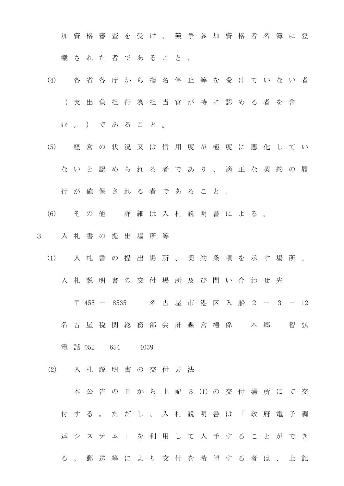加 資 格 審 査 を 受 け 、 競 争 参 加 資 格 者 名 簿 に 登 載 さ れ た 者 で あ る こ と 。

- (4) 各 省 各 庁 か ら 指 名 停 止 等 を 受 け て い な い 者 ( 支 出 負 担 行 為 担 当 官 が 特 に 認 め る 者 を 含
	- む 。 ) で あ る こ と 。
- (5) 経 営 の 状 況 又 は 信 用 度 が 極 度 に 悪 化 し て い な い と 認 め ら れ る 者 で あ り 、 適 正 な 契 約 の 履 行 が 確 保 さ れ る 者 で あ る こ と 。
- (6) そ の 他 詳 細 は 入 札 説 明 書 に よ る 。
- 3 入 札 書 の 提 出 場 所 等
	- (1) 入 札 書 の 提 出 場 所 、 契 約 条 項 を 示 す 場 所 、 入 札 説 明 書 の 交 付 場 所 及 び 問 い 合 わ せ 先

〒 455 - 8535 名 古 屋 市 港 区 入 船 2 - 3 - 12 名古屋税関総務部会計課営繕係 本郷 智弘

電 話 052 - 654 - 4039

(2) 入 札 説 明 書 の 交 付 方 法

本 公 告 の 日 か ら 上 記 3 (1) の 交 付 場 所 に て 交 付 す る 。 た だ し 、 入 札 説 明 書 は 「 政 府 電 子 調 達 シ ス テ ム 」 を 利 用 し て 入 手 す る こ と が で き る 。 郵 送 等 に よ り 交 付 を 希 望 す る 者 は 、 上 記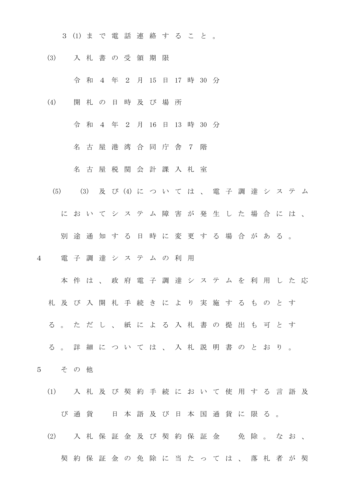- 3 (1) ま で 電 話 連 絡 す る こ と 。
- (3) 入 札 書 の 受 領 期 限
	- 令 和 4 年 2 月 15 日 17 時 30 分
- (4) 開 札 の 日 時 及 び 場 所
	- 令 和 4 年 2 月 16 日 13 時 30 分
		- 名 古 屋 港 湾 合 同 庁 舎 7 階
		- 名 古 屋 税 関 会 計 課 入 札 室
	- (5) (3) 及 び (4) に つ い て は 、 電 子 調 達 シ ス テ ム
		- に お い て シ ス テ ム 障 害 が 発 生 し た 場 合 に は 、
		- 別途通知する日時に変更する場合がある。
- 4 電 子 調 達 シ ス テ ム の 利 用
	- 本 件 は 、 政 府 電 子 調 達 シ ス テ ム を 利 用 し た 応
	- 札 及 び 入 開 札 手 続 き に よ り 実 施 す る も の と す
	- る 。 た だ し 、 紙 に よ る 入 札 書 の 提 出 も 可 と す
	- る 。 詳 細 に つ い て は 、 入 札 説 明 書 の と お り 。
- 5 そ の 他
	- (1) 入 札 及 び 契 約 手 続 に お い て 使 用 す る 言 語 及 び 通 貨 日 本 語 及 び 日 本 国 通 貨 に 限 る 。
	- (2) 入札保証金及び契約保証金 免除。なお、
		- 契約保証金の免除に当たっては、落札者が契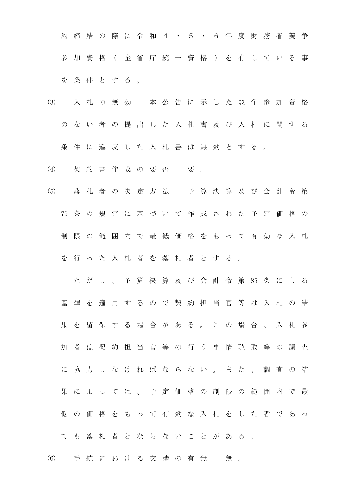約 締 結 の 際 に 令 和 4 · 5 · 6 年 度 財 務 省 競 争 参 加 資 格 ( 全 省 庁 統 一 資 格 ) を 有 し て い る 事 を 条 件 と す る 。

(3) 入 札 の 無 効 本 公 告 に 示 し た 競 争 参 加 資 格 の な い 者 の 提 出 し た 入 札 書 及 び 入 札 に 関 す る 条 件 に 違 反 し た 入 札 書 は 無 効 と す る 。

(4) 契約書作成の要否 要。

(5) 落 札 者 の 決 定 方 法 予 算 決 算 及 び 会 計 令 第 79 条 の 規 定 に 基 づ い て 作 成 さ れ た 予 定 価 格 の 制 限 の 範 囲 内 で 最 低 価 格 を も っ て 有 効 な 入 札 を 行 っ た 入 札 者 を 落 札 者 と す る 。

た だ し 、 予 算 決 算 及 び 会 計 令 第 85 条 に よ る 基 準 を 適 用 す る の で 契 約 担 当 官 等 は 入 札 の 結 果 を 留 保 す る 場 合 が あ る 。 こ の 場 合 、 入 札 参 加 者 は 契 約 担 当 官 等 の 行 う 事 情 聴 取 等 の 調 査 に 協 力 し な け れ ば な ら な い 。 ま た 、 調 査 の 結 果 に よ っ て は 、 予 定 価 格 の 制 限 の 範 囲 内 で 最 低 の 価 格 を も っ て 有 効 な 入 札 を し た 者 で あ っ て も 落 札 者 と な ら な い こ と が あ る 。

(6) 手続における交渉の有無 無。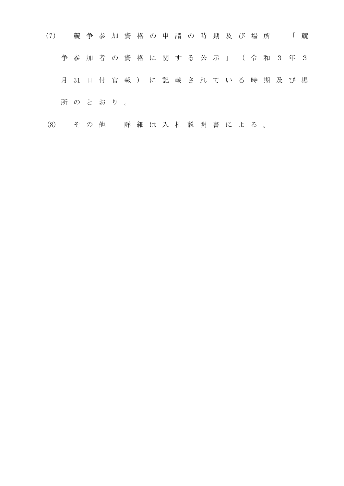| (7) |   |       |        |  | 競争参加資格の申請の時期及び場所                         |  |  |  |  |  | $\Box$ | 競 |
|-----|---|-------|--------|--|------------------------------------------|--|--|--|--|--|--------|---|
|     | 争 |       |        |  | 参加者の資格に関する公示」(令和3年3                      |  |  |  |  |  |        |   |
|     |   |       |        |  | 月 31 日 付 官 報 ) に 記 載 さ れ て い る 時 期 及 び 場 |  |  |  |  |  |        |   |
|     |   |       | 所のとおり。 |  |                                          |  |  |  |  |  |        |   |
| (8) |   | そ の 他 |        |  | 詳細は入札説明書による。                             |  |  |  |  |  |        |   |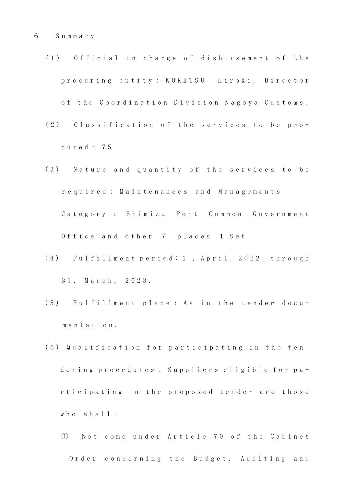- (1) Official in charge of disbursement of the p r o c u r i n g e n t i t y : K O K E T S U H i r o k i , D i r e c t o r of the Coordination Division Nagoya Customs.
- (2) Classification of the services to be proc u r e d : 7 5
- (3) Nature and quantity of the services to be r e q u i r e d : M a i n t e n a n c e s a n d M a n a g e m e n t s Category : Shimizu Port Common Government Office and other 7 places 1 Set
- (4) Fulfillment period: 1, April, 2022, through 31, March, 2023.
- (5) Fulfillment place: As in the tender docum e n t a t i o n .
- (6) Qualification for participating in the tendering procedures : Suppliers eligible for participating in the proposed tender are those who  $sha11$  :
	- ① N o t c o m e u n d e r A r t i c l e 7 0 o f t h e C a b i n e t Order concerning the Budget, Auditing and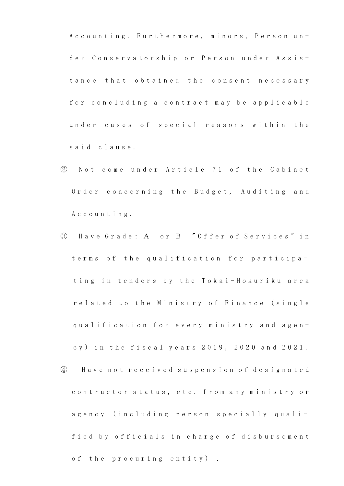A c c o u n t i n g . Furthermore, minors, Person under Conservatorship or Person under Assistance that obtained the consent necessary for concluding a contract may be applicable under cases of special reasons within the said clause.

- ② Not come under Article 71 of the Cabinet Order concerning the Budget, Auditing and A c c o u n t i n g .
- ③ H a v e G r a d e: A o r B " O f f e r o f S e r v i c e s " i n terms of the qualification for participating in tenders by the Tokai-Hokuriku area related to the Ministry of Finance (single q u a l i f i c a t i o n f o r e v e r y m i n i s t r y a n d a g e n cy) in the fiscal years 2019, 2020 and 2021. ④ H a v e n o t r e c e i v e d s u s p e n s i o n o f d e s i g n a t e d contractor status, etc. from any ministry or agency (including person specially quali
	- fied by officials in charge of disbursement

of the procuring entity).